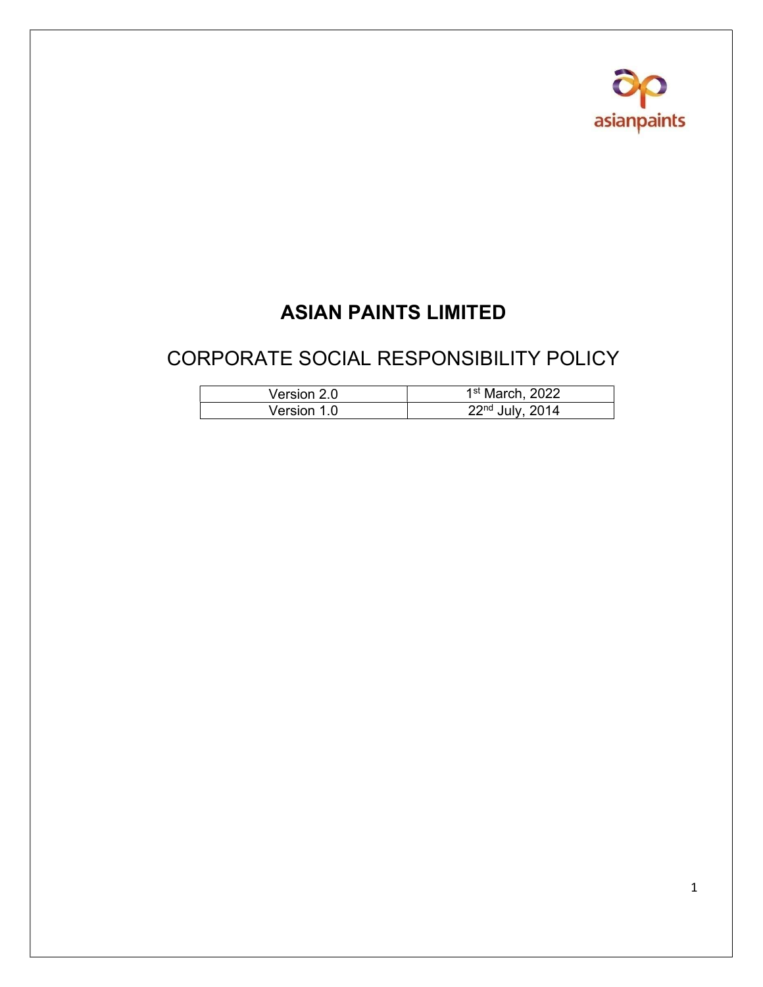

# ASIAN PAINTS LIMITED

## CORPORATE SOCIAL RESPONSIBILITY POLICY

| Version 2.0 | 1 <sup>st</sup> March, 2022 |
|-------------|-----------------------------|
| Version 1.0 | $22nd$ July, 2014           |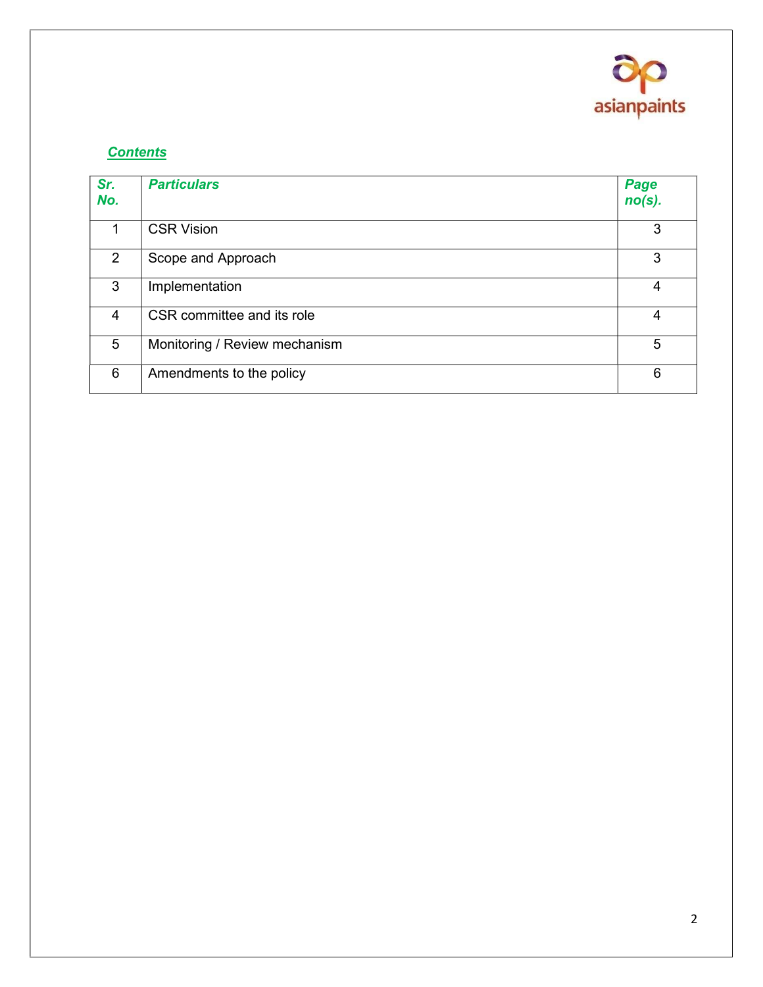

### **Contents**

| Sr.<br>No.     | <b>Particulars</b>            | Page<br>$no(s)$ . |
|----------------|-------------------------------|-------------------|
|                | <b>CSR Vision</b>             | 3                 |
| 2              | Scope and Approach            | 3                 |
| 3              | Implementation                | 4                 |
| $\overline{4}$ | CSR committee and its role    | 4                 |
| 5              | Monitoring / Review mechanism | 5                 |
| 6              | Amendments to the policy      | 6                 |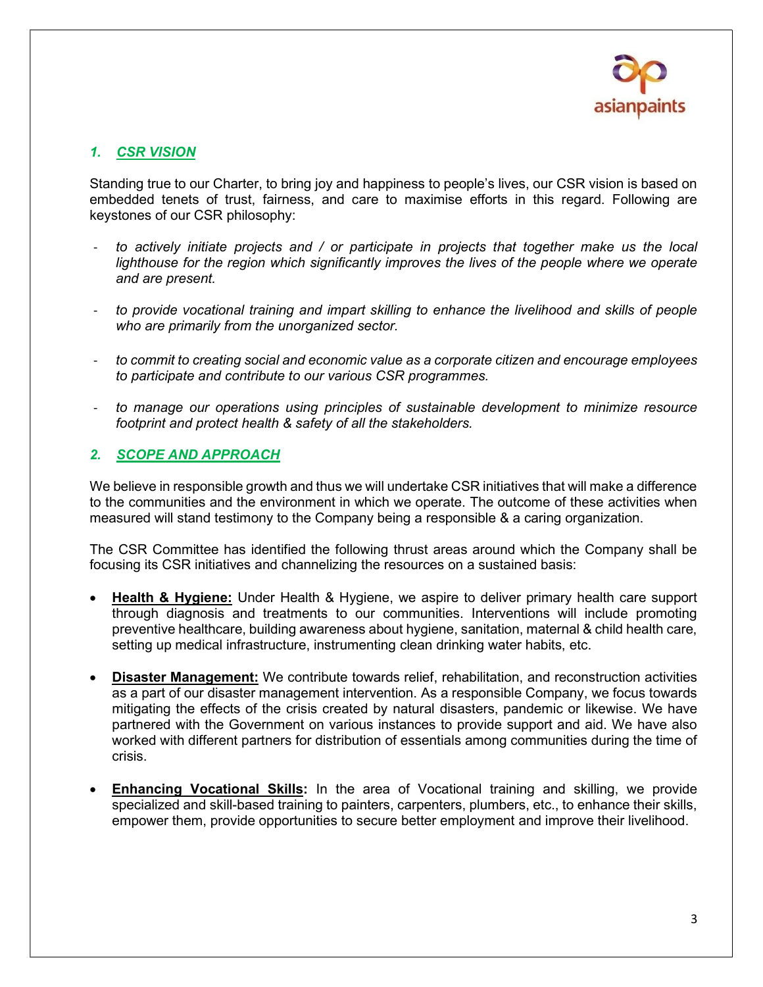

#### 1. CSR VISION

Standing true to our Charter, to bring joy and happiness to people's lives, our CSR vision is based on embedded tenets of trust, fairness, and care to maximise efforts in this regard. Following are keystones of our CSR philosophy:

- to actively initiate projects and / or participate in projects that together make us the local lighthouse for the region which significantly improves the lives of the people where we operate and are present.
- to provide vocational training and impart skilling to enhance the livelihood and skills of people who are primarily from the unorganized sector.
- to commit to creating social and economic value as a corporate citizen and encourage employees to participate and contribute to our various CSR programmes.
- to manage our operations using principles of sustainable development to minimize resource footprint and protect health & safety of all the stakeholders.

#### 2. SCOPE AND APPROACH

We believe in responsible growth and thus we will undertake CSR initiatives that will make a difference to the communities and the environment in which we operate. The outcome of these activities when measured will stand testimony to the Company being a responsible & a caring organization.

The CSR Committee has identified the following thrust areas around which the Company shall be focusing its CSR initiatives and channelizing the resources on a sustained basis:

- Health & Hygiene: Under Health & Hygiene, we aspire to deliver primary health care support through diagnosis and treatments to our communities. Interventions will include promoting preventive healthcare, building awareness about hygiene, sanitation, maternal & child health care, setting up medical infrastructure, instrumenting clean drinking water habits, etc.
- Disaster Management: We contribute towards relief, rehabilitation, and reconstruction activities as a part of our disaster management intervention. As a responsible Company, we focus towards mitigating the effects of the crisis created by natural disasters, pandemic or likewise. We have partnered with the Government on various instances to provide support and aid. We have also worked with different partners for distribution of essentials among communities during the time of crisis.
- Enhancing Vocational Skills: In the area of Vocational training and skilling, we provide specialized and skill-based training to painters, carpenters, plumbers, etc., to enhance their skills, empower them, provide opportunities to secure better employment and improve their livelihood.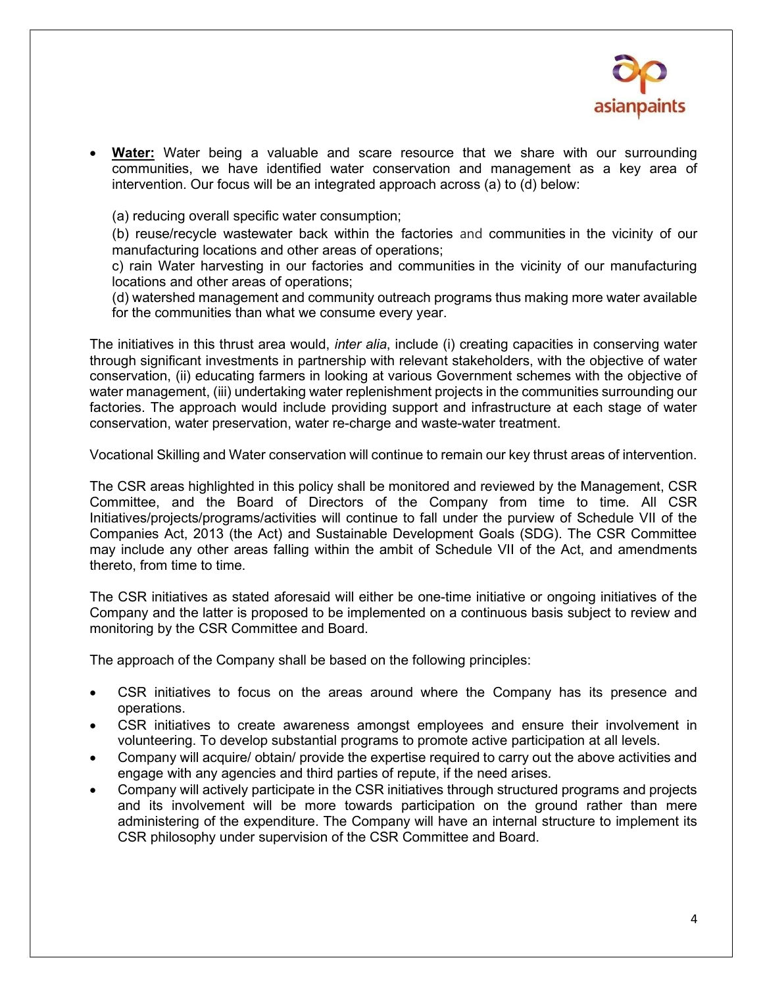

Water: Water being a valuable and scare resource that we share with our surrounding communities, we have identified water conservation and management as a key area of intervention. Our focus will be an integrated approach across (a) to (d) below:

(a) reducing overall specific water consumption;

(b) reuse/recycle wastewater back within the factories and communities in the vicinity of our manufacturing locations and other areas of operations;

c) rain Water harvesting in our factories and communities in the vicinity of our manufacturing locations and other areas of operations;

(d) watershed management and community outreach programs thus making more water available for the communities than what we consume every year.

The initiatives in this thrust area would, *inter alia*, include (i) creating capacities in conserving water through significant investments in partnership with relevant stakeholders, with the objective of water conservation, (ii) educating farmers in looking at various Government schemes with the objective of water management, (iii) undertaking water replenishment projects in the communities surrounding our factories. The approach would include providing support and infrastructure at each stage of water conservation, water preservation, water re-charge and waste-water treatment.

Vocational Skilling and Water conservation will continue to remain our key thrust areas of intervention.

The CSR areas highlighted in this policy shall be monitored and reviewed by the Management, CSR Committee, and the Board of Directors of the Company from time to time. All CSR Initiatives/projects/programs/activities will continue to fall under the purview of Schedule VII of the Companies Act, 2013 (the Act) and Sustainable Development Goals (SDG). The CSR Committee may include any other areas falling within the ambit of Schedule VII of the Act, and amendments thereto, from time to time.

The CSR initiatives as stated aforesaid will either be one-time initiative or ongoing initiatives of the Company and the latter is proposed to be implemented on a continuous basis subject to review and monitoring by the CSR Committee and Board.

The approach of the Company shall be based on the following principles:

- CSR initiatives to focus on the areas around where the Company has its presence and operations.
- CSR initiatives to create awareness amongst employees and ensure their involvement in volunteering. To develop substantial programs to promote active participation at all levels.
- Company will acquire/ obtain/ provide the expertise required to carry out the above activities and engage with any agencies and third parties of repute, if the need arises.
- Company will actively participate in the CSR initiatives through structured programs and projects and its involvement will be more towards participation on the ground rather than mere administering of the expenditure. The Company will have an internal structure to implement its CSR philosophy under supervision of the CSR Committee and Board.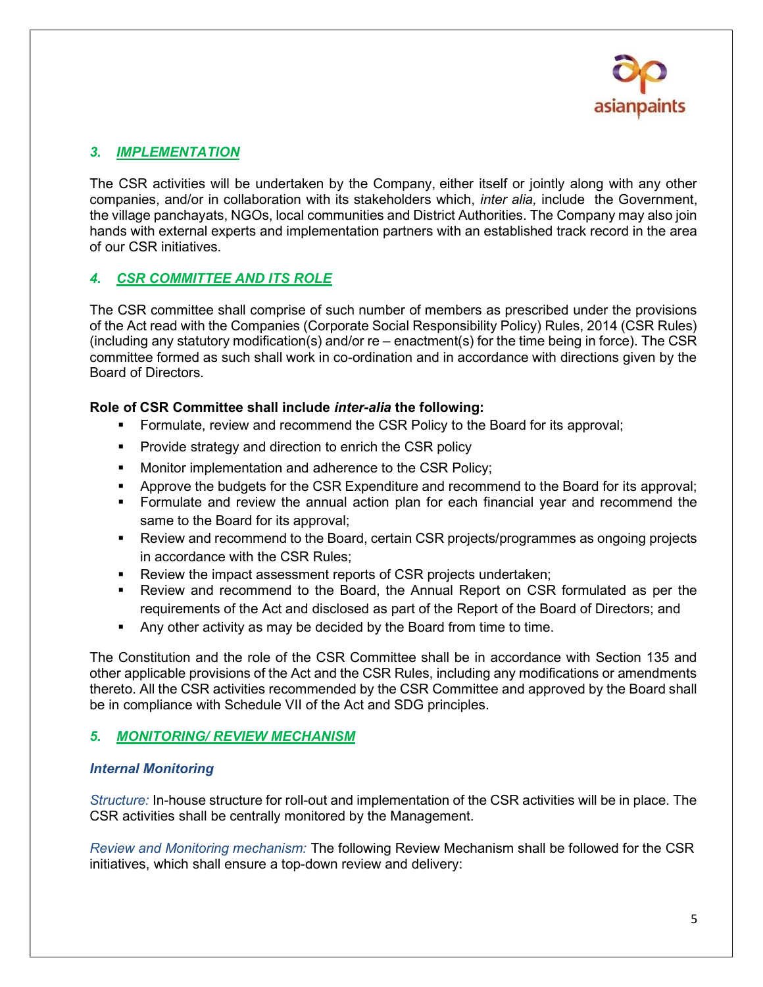

#### 3. IMPLEMENTATION

The CSR activities will be undertaken by the Company, either itself or jointly along with any other companies, and/or in collaboration with its stakeholders which, inter alia, include the Government, the village panchayats, NGOs, local communities and District Authorities. The Company may also join hands with external experts and implementation partners with an established track record in the area of our CSR initiatives.

#### 4. CSR COMMITTEE AND ITS ROLE

The CSR committee shall comprise of such number of members as prescribed under the provisions of the Act read with the Companies (Corporate Social Responsibility Policy) Rules, 2014 (CSR Rules) (including any statutory modification(s) and/or re – enactment(s) for the time being in force). The CSR committee formed as such shall work in co-ordination and in accordance with directions given by the Board of Directors.

#### Role of CSR Committee shall include inter-alia the following:

- **FILT** Formulate, review and recommend the CSR Policy to the Board for its approval;
- **Provide strategy and direction to enrich the CSR policy**
- **Monitor implementation and adherence to the CSR Policy;**
- Approve the budgets for the CSR Expenditure and recommend to the Board for its approval;
- Formulate and review the annual action plan for each financial year and recommend the same to the Board for its approval;
- Review and recommend to the Board, certain CSR projects/programmes as ongoing projects in accordance with the CSR Rules;
- **Review the impact assessment reports of CSR projects undertaken;**
- Review and recommend to the Board, the Annual Report on CSR formulated as per the requirements of the Act and disclosed as part of the Report of the Board of Directors; and
- Any other activity as may be decided by the Board from time to time.

The Constitution and the role of the CSR Committee shall be in accordance with Section 135 and other applicable provisions of the Act and the CSR Rules, including any modifications or amendments thereto. All the CSR activities recommended by the CSR Committee and approved by the Board shall be in compliance with Schedule VII of the Act and SDG principles.

#### 5. MONITORING/ REVIEW MECHANISM

#### Internal Monitoring

Structure: In-house structure for roll-out and implementation of the CSR activities will be in place. The CSR activities shall be centrally monitored by the Management.

Review and Monitoring mechanism: The following Review Mechanism shall be followed for the CSR initiatives, which shall ensure a top-down review and delivery: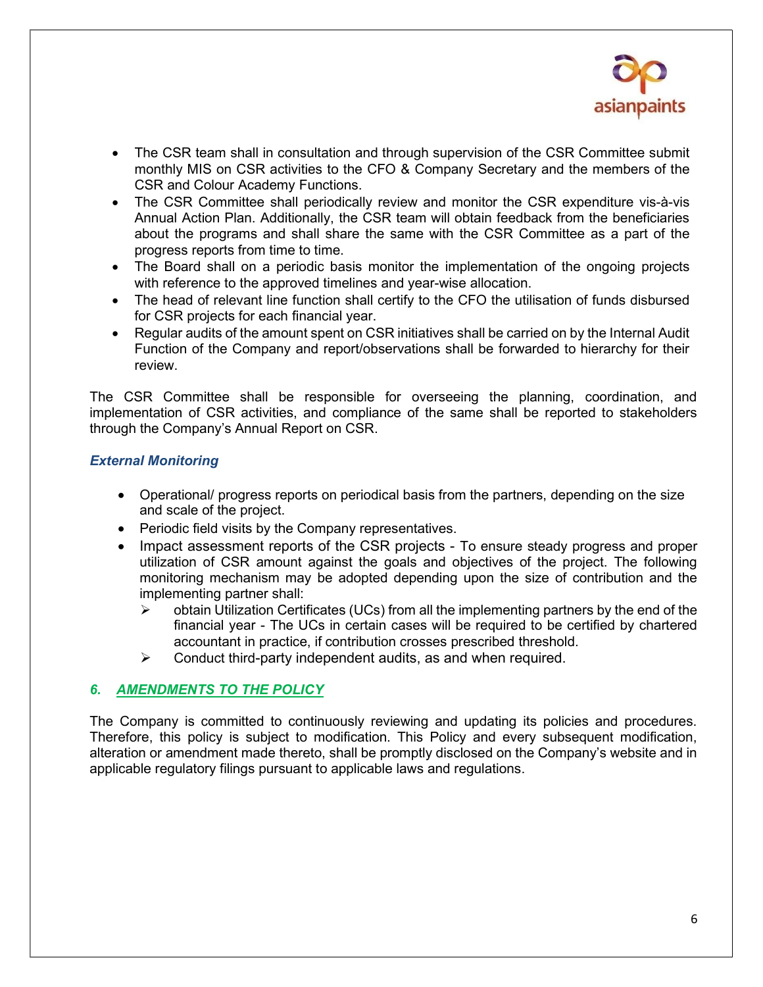

- The CSR team shall in consultation and through supervision of the CSR Committee submit monthly MIS on CSR activities to the CFO & Company Secretary and the members of the CSR and Colour Academy Functions.
- The CSR Committee shall periodically review and monitor the CSR expenditure vis-à-vis Annual Action Plan. Additionally, the CSR team will obtain feedback from the beneficiaries about the programs and shall share the same with the CSR Committee as a part of the progress reports from time to time.
- The Board shall on a periodic basis monitor the implementation of the ongoing projects with reference to the approved timelines and year-wise allocation.
- The head of relevant line function shall certify to the CFO the utilisation of funds disbursed for CSR projects for each financial year.
- Regular audits of the amount spent on CSR initiatives shall be carried on by the Internal Audit Function of the Company and report/observations shall be forwarded to hierarchy for their review.

The CSR Committee shall be responsible for overseeing the planning, coordination, and implementation of CSR activities, and compliance of the same shall be reported to stakeholders through the Company's Annual Report on CSR.

#### External Monitoring

- Operational/ progress reports on periodical basis from the partners, depending on the size and scale of the project.
- Periodic field visits by the Company representatives.
- Impact assessment reports of the CSR projects To ensure steady progress and proper utilization of CSR amount against the goals and objectives of the project. The following monitoring mechanism may be adopted depending upon the size of contribution and the implementing partner shall:
	- $\triangleright$  obtain Utilization Certificates (UCs) from all the implementing partners by the end of the financial year - The UCs in certain cases will be required to be certified by chartered accountant in practice, if contribution crosses prescribed threshold.
	- $\triangleright$  Conduct third-party independent audits, as and when required.

#### 6. AMENDMENTS TO THE POLICY

The Company is committed to continuously reviewing and updating its policies and procedures. Therefore, this policy is subject to modification. This Policy and every subsequent modification, alteration or amendment made thereto, shall be promptly disclosed on the Company's website and in applicable regulatory filings pursuant to applicable laws and regulations.